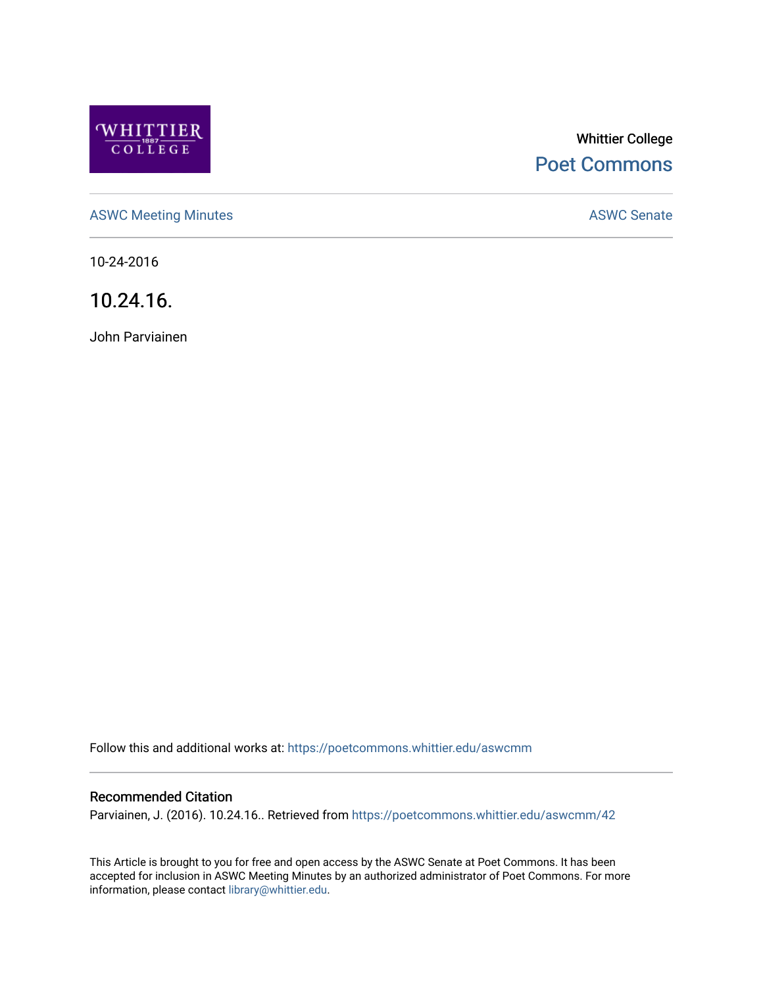

# Whittier College [Poet Commons](https://poetcommons.whittier.edu/)

[ASWC Meeting Minutes](https://poetcommons.whittier.edu/aswcmm) **ASWC Senate** 

10-24-2016

10.24.16.

John Parviainen

Follow this and additional works at: [https://poetcommons.whittier.edu/aswcmm](https://poetcommons.whittier.edu/aswcmm?utm_source=poetcommons.whittier.edu%2Faswcmm%2F42&utm_medium=PDF&utm_campaign=PDFCoverPages)

#### Recommended Citation

Parviainen, J. (2016). 10.24.16.. Retrieved from [https://poetcommons.whittier.edu/aswcmm/42](https://poetcommons.whittier.edu/aswcmm/42?utm_source=poetcommons.whittier.edu%2Faswcmm%2F42&utm_medium=PDF&utm_campaign=PDFCoverPages)

This Article is brought to you for free and open access by the ASWC Senate at Poet Commons. It has been accepted for inclusion in ASWC Meeting Minutes by an authorized administrator of Poet Commons. For more information, please contact [library@whittier.edu.](mailto:library@whittier.edu)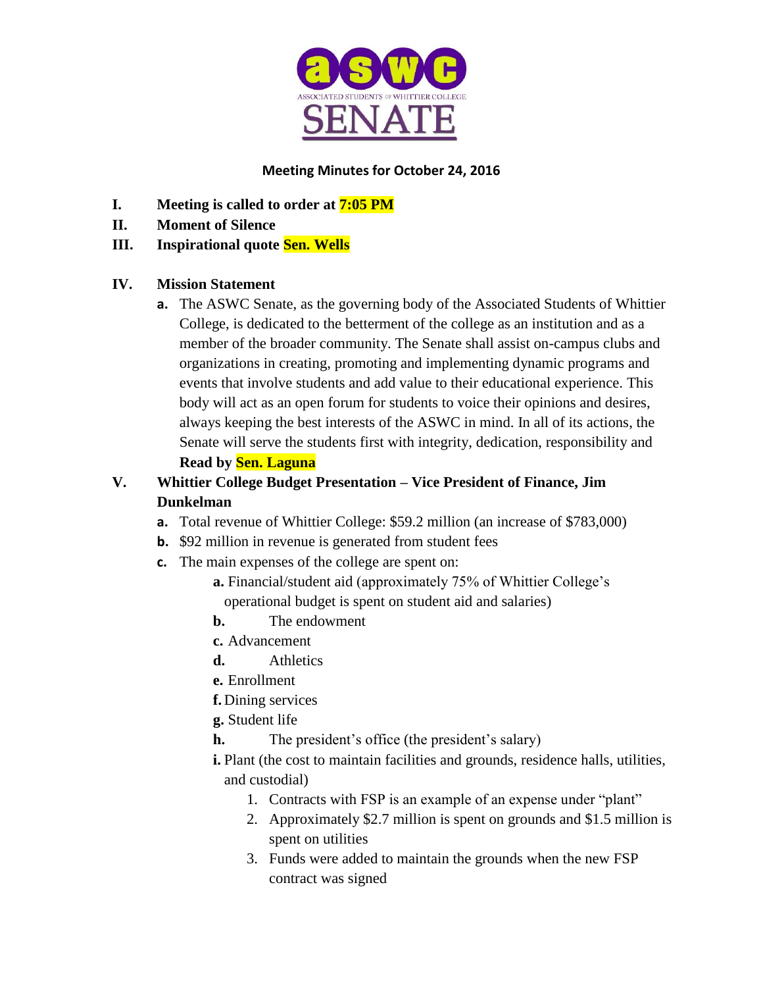

## **Meeting Minutes for October 24, 2016**

- **I. Meeting is called to order at 7:05 PM**
- **II. Moment of Silence**

## **III. Inspirational quote Sen. Wells**

## **IV. Mission Statement**

**a.** The ASWC Senate, as the governing body of the Associated Students of Whittier College, is dedicated to the betterment of the college as an institution and as a member of the broader community. The Senate shall assist on-campus clubs and organizations in creating, promoting and implementing dynamic programs and events that involve students and add value to their educational experience. This body will act as an open forum for students to voice their opinions and desires, always keeping the best interests of the ASWC in mind. In all of its actions, the Senate will serve the students first with integrity, dedication, responsibility and **Read by Sen. Laguna**

# **V. Whittier College Budget Presentation – Vice President of Finance, Jim Dunkelman**

- **a.** Total revenue of Whittier College: \$59.2 million (an increase of \$783,000)
- **b.** \$92 million in revenue is generated from student fees
- **c.** The main expenses of the college are spent on:
	- **a.** Financial/student aid (approximately 75% of Whittier College's operational budget is spent on student aid and salaries)
	- **b.** The endowment
	- **c.** Advancement
	- **d.** Athletics
	- **e.** Enrollment
	- **f.** Dining services
	- **g.** Student life
	- **h.** The president's office (the president's salary)
	- **i.** Plant (the cost to maintain facilities and grounds, residence halls, utilities, and custodial)
		- 1. Contracts with FSP is an example of an expense under "plant"
		- 2. Approximately \$2.7 million is spent on grounds and \$1.5 million is spent on utilities
		- 3. Funds were added to maintain the grounds when the new FSP contract was signed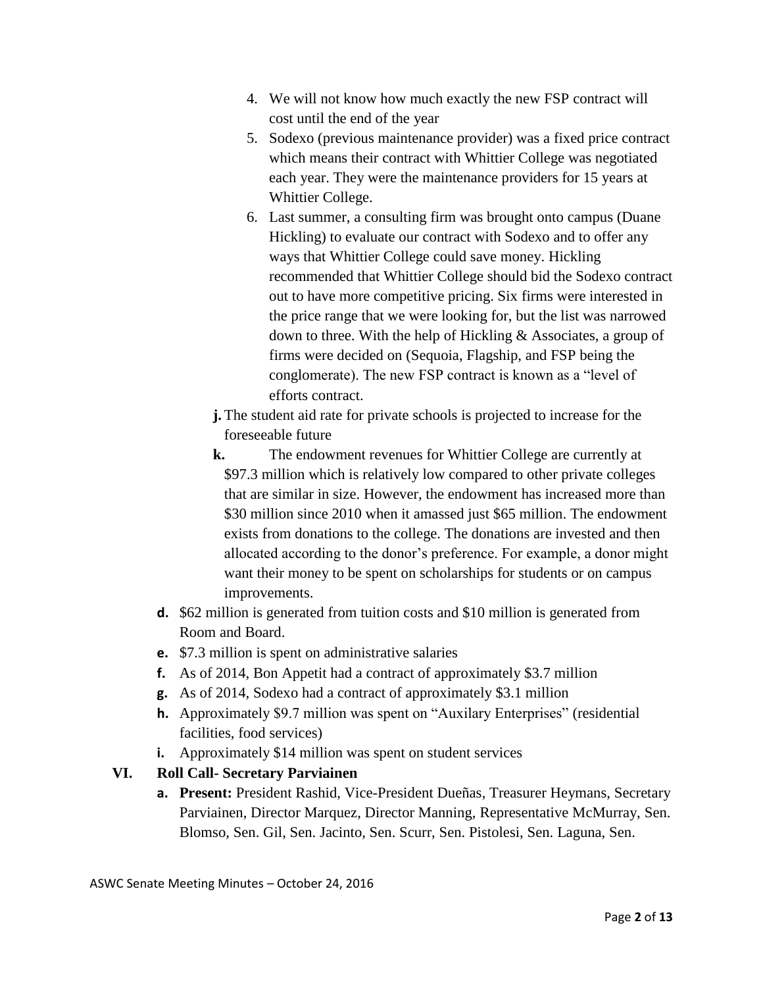- 4. We will not know how much exactly the new FSP contract will cost until the end of the year
- 5. Sodexo (previous maintenance provider) was a fixed price contract which means their contract with Whittier College was negotiated each year. They were the maintenance providers for 15 years at Whittier College.
- 6. Last summer, a consulting firm was brought onto campus (Duane Hickling) to evaluate our contract with Sodexo and to offer any ways that Whittier College could save money. Hickling recommended that Whittier College should bid the Sodexo contract out to have more competitive pricing. Six firms were interested in the price range that we were looking for, but the list was narrowed down to three. With the help of Hickling & Associates, a group of firms were decided on (Sequoia, Flagship, and FSP being the conglomerate). The new FSP contract is known as a "level of efforts contract.
- **j.** The student aid rate for private schools is projected to increase for the foreseeable future
- **k.** The endowment revenues for Whittier College are currently at \$97.3 million which is relatively low compared to other private colleges that are similar in size. However, the endowment has increased more than \$30 million since 2010 when it amassed just \$65 million. The endowment exists from donations to the college. The donations are invested and then allocated according to the donor's preference. For example, a donor might want their money to be spent on scholarships for students or on campus improvements.
- **d.** \$62 million is generated from tuition costs and \$10 million is generated from Room and Board.
- **e.** \$7.3 million is spent on administrative salaries
- **f.** As of 2014, Bon Appetit had a contract of approximately \$3.7 million
- **g.** As of 2014, Sodexo had a contract of approximately \$3.1 million
- **h.** Approximately \$9.7 million was spent on "Auxilary Enterprises" (residential facilities, food services)
- **i.** Approximately \$14 million was spent on student services

# **VI. Roll Call- Secretary Parviainen**

**a. Present:** President Rashid, Vice-President Dueñas, Treasurer Heymans, Secretary Parviainen, Director Marquez, Director Manning, Representative McMurray, Sen. Blomso, Sen. Gil, Sen. Jacinto, Sen. Scurr, Sen. Pistolesi, Sen. Laguna, Sen.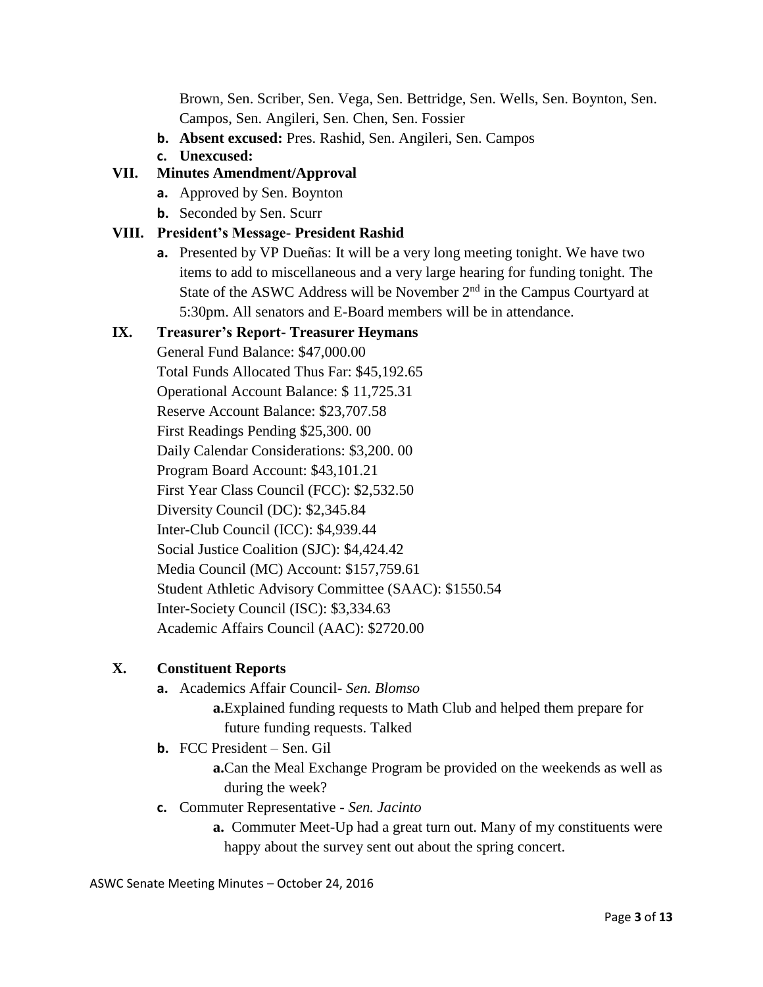Brown, Sen. Scriber, Sen. Vega, Sen. Bettridge, Sen. Wells, Sen. Boynton, Sen. Campos, Sen. Angileri, Sen. Chen, Sen. Fossier

- **b. Absent excused:** Pres. Rashid, Sen. Angileri, Sen. Campos
- **c. Unexcused:**

#### **VII. Minutes Amendment/Approval**

- **a.** Approved by Sen. Boynton
- **b.** Seconded by Sen. Scurr

#### **VIII. President's Message- President Rashid**

**a.** Presented by VP Dueñas: It will be a very long meeting tonight. We have two items to add to miscellaneous and a very large hearing for funding tonight. The State of the ASWC Address will be November  $2<sup>nd</sup>$  in the Campus Courtyard at 5:30pm. All senators and E-Board members will be in attendance.

#### **IX. Treasurer's Report- Treasurer Heymans**

General Fund Balance: \$47,000.00 Total Funds Allocated Thus Far: \$45,192.65 Operational Account Balance: \$ 11,725.31 Reserve Account Balance: \$23,707.58 First Readings Pending \$25,300. 00 Daily Calendar Considerations: \$3,200. 00 Program Board Account: \$43,101.21 First Year Class Council (FCC): \$2,532.50 Diversity Council (DC): \$2,345.84 Inter-Club Council (ICC): \$4,939.44 Social Justice Coalition (SJC): \$4,424.42 Media Council (MC) Account: \$157,759.61 Student Athletic Advisory Committee (SAAC): \$1550.54 Inter-Society Council (ISC): \$3,334.63 Academic Affairs Council (AAC): \$2720.00

## **X. Constituent Reports**

- **a.** Academics Affair Council- *Sen. Blomso* **a.**Explained funding requests to Math Club and helped them prepare for future funding requests. Talked
- **b.** FCC President Sen. Gil

**a.**Can the Meal Exchange Program be provided on the weekends as well as during the week?

- **c.** Commuter Representative *Sen. Jacinto*
	- **a.** Commuter Meet-Up had a great turn out. Many of my constituents were happy about the survey sent out about the spring concert.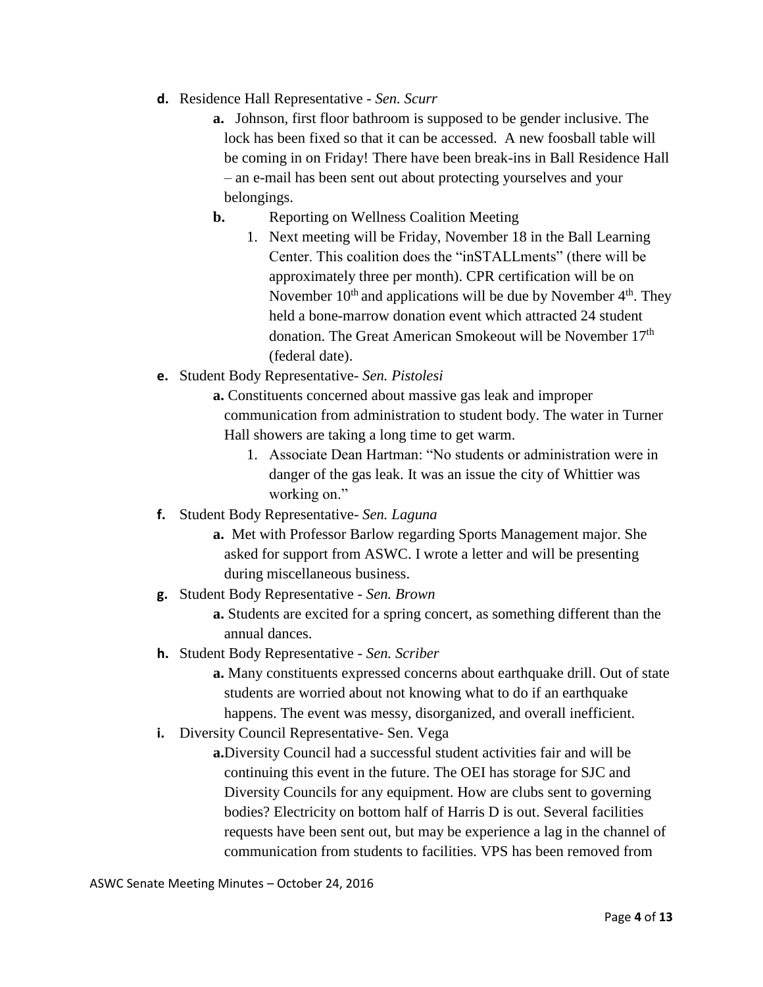- **d.** Residence Hall Representative *Sen. Scurr*
	- **a.** Johnson, first floor bathroom is supposed to be gender inclusive. The lock has been fixed so that it can be accessed. A new foosball table will be coming in on Friday! There have been break-ins in Ball Residence Hall – an e-mail has been sent out about protecting yourselves and your belongings.
	- **b.** Reporting on Wellness Coalition Meeting
		- 1. Next meeting will be Friday, November 18 in the Ball Learning Center. This coalition does the "inSTALLments" (there will be approximately three per month). CPR certification will be on November  $10^{th}$  and applications will be due by November  $4^{th}$ . They held a bone-marrow donation event which attracted 24 student donation. The Great American Smokeout will be November 17<sup>th</sup> (federal date).
- **e.** Student Body Representative- *Sen. Pistolesi*
	- **a.** Constituents concerned about massive gas leak and improper communication from administration to student body. The water in Turner Hall showers are taking a long time to get warm.
		- 1. Associate Dean Hartman: "No students or administration were in danger of the gas leak. It was an issue the city of Whittier was working on."
- **f.** Student Body Representative- *Sen. Laguna*
	- **a.** Met with Professor Barlow regarding Sports Management major. She asked for support from ASWC. I wrote a letter and will be presenting during miscellaneous business.
- **g.** Student Body Representative *Sen. Brown*
	- **a.** Students are excited for a spring concert, as something different than the annual dances.
- **h.** Student Body Representative *Sen. Scriber*
	- **a.** Many constituents expressed concerns about earthquake drill. Out of state students are worried about not knowing what to do if an earthquake happens. The event was messy, disorganized, and overall inefficient.
- **i.** Diversity Council Representative- Sen. Vega
	- **a.**Diversity Council had a successful student activities fair and will be continuing this event in the future. The OEI has storage for SJC and Diversity Councils for any equipment. How are clubs sent to governing bodies? Electricity on bottom half of Harris D is out. Several facilities requests have been sent out, but may be experience a lag in the channel of communication from students to facilities. VPS has been removed from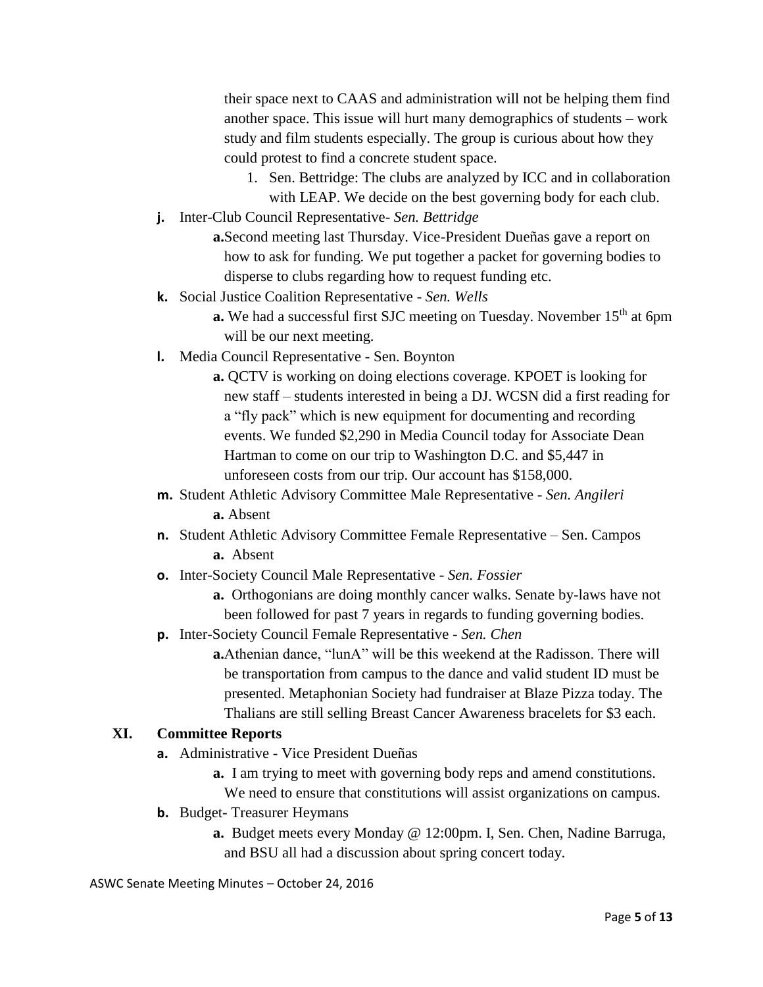their space next to CAAS and administration will not be helping them find another space. This issue will hurt many demographics of students – work study and film students especially. The group is curious about how they could protest to find a concrete student space.

- 1. Sen. Bettridge: The clubs are analyzed by ICC and in collaboration with LEAP. We decide on the best governing body for each club.
- **j.** Inter-Club Council Representative- *Sen. Bettridge*

**a.**Second meeting last Thursday. Vice-President Dueñas gave a report on how to ask for funding. We put together a packet for governing bodies to disperse to clubs regarding how to request funding etc.

- **k.** Social Justice Coalition Representative *Sen. Wells*
	- **a.** We had a successful first SJC meeting on Tuesday. November 15<sup>th</sup> at 6pm will be our next meeting.
- **l.** Media Council Representative Sen. Boynton
	- **a.** QCTV is working on doing elections coverage. KPOET is looking for new staff – students interested in being a DJ. WCSN did a first reading for a "fly pack" which is new equipment for documenting and recording events. We funded \$2,290 in Media Council today for Associate Dean Hartman to come on our trip to Washington D.C. and \$5,447 in unforeseen costs from our trip. Our account has \$158,000.
- **m.** Student Athletic Advisory Committee Male Representative *Sen. Angileri* **a.** Absent
- **n.** Student Athletic Advisory Committee Female Representative Sen. Campos **a.** Absent
- **o.** Inter-Society Council Male Representative *Sen. Fossier*
	- **a.** Orthogonians are doing monthly cancer walks. Senate by-laws have not been followed for past 7 years in regards to funding governing bodies.
- **p.** Inter-Society Council Female Representative *Sen. Chen*

**a.**Athenian dance, "lunA" will be this weekend at the Radisson. There will be transportation from campus to the dance and valid student ID must be presented. Metaphonian Society had fundraiser at Blaze Pizza today. The Thalians are still selling Breast Cancer Awareness bracelets for \$3 each.

## **XI. Committee Reports**

- **a.** Administrative Vice President Dueñas
	- **a.** I am trying to meet with governing body reps and amend constitutions.
	- We need to ensure that constitutions will assist organizations on campus.
- **b.** Budget-Treasurer Heymans
	- **a.** Budget meets every Monday @ 12:00pm. I, Sen. Chen, Nadine Barruga, and BSU all had a discussion about spring concert today.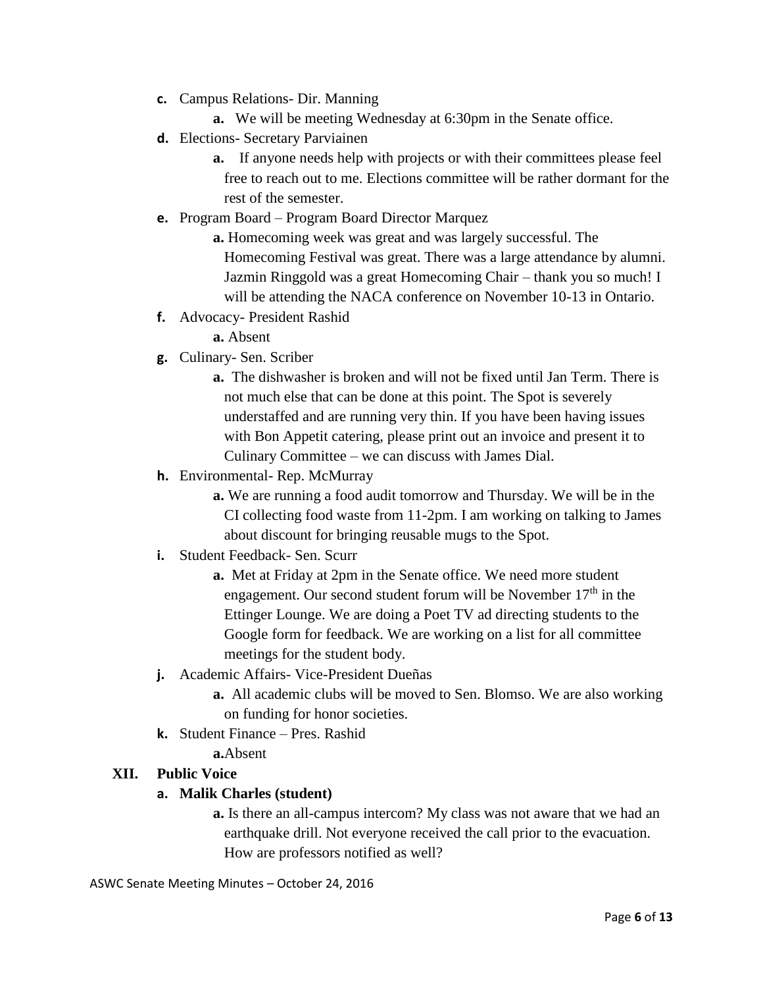- **c.** Campus Relations- Dir. Manning
	- **a.** We will be meeting Wednesday at 6:30pm in the Senate office.
- **d.** Elections- Secretary Parviainen
	- **a.** If anyone needs help with projects or with their committees please feel free to reach out to me. Elections committee will be rather dormant for the rest of the semester.
- **e.** Program Board Program Board Director Marquez

**a.** Homecoming week was great and was largely successful. The Homecoming Festival was great. There was a large attendance by alumni. Jazmin Ringgold was a great Homecoming Chair – thank you so much! I will be attending the NACA conference on November 10-13 in Ontario.

**f.** Advocacy- President Rashid

**a.** Absent

- **g.** Culinary- Sen. Scriber
	- **a.** The dishwasher is broken and will not be fixed until Jan Term. There is not much else that can be done at this point. The Spot is severely understaffed and are running very thin. If you have been having issues with Bon Appetit catering, please print out an invoice and present it to Culinary Committee – we can discuss with James Dial.
- **h.** Environmental- Rep. McMurray
	- **a.** We are running a food audit tomorrow and Thursday. We will be in the CI collecting food waste from 11-2pm. I am working on talking to James about discount for bringing reusable mugs to the Spot.
- **i.** Student Feedback- Sen. Scurr
	- **a.** Met at Friday at 2pm in the Senate office. We need more student engagement. Our second student forum will be November  $17<sup>th</sup>$  in the Ettinger Lounge. We are doing a Poet TV ad directing students to the Google form for feedback. We are working on a list for all committee meetings for the student body.
- **j.** Academic Affairs- Vice-President Dueñas
	- **a.** All academic clubs will be moved to Sen. Blomso. We are also working on funding for honor societies.
- **k.** Student Finance Pres. Rashid

**a.**Absent

#### **XII. Public Voice**

#### **a. Malik Charles (student)**

**a.** Is there an all-campus intercom? My class was not aware that we had an earthquake drill. Not everyone received the call prior to the evacuation. How are professors notified as well?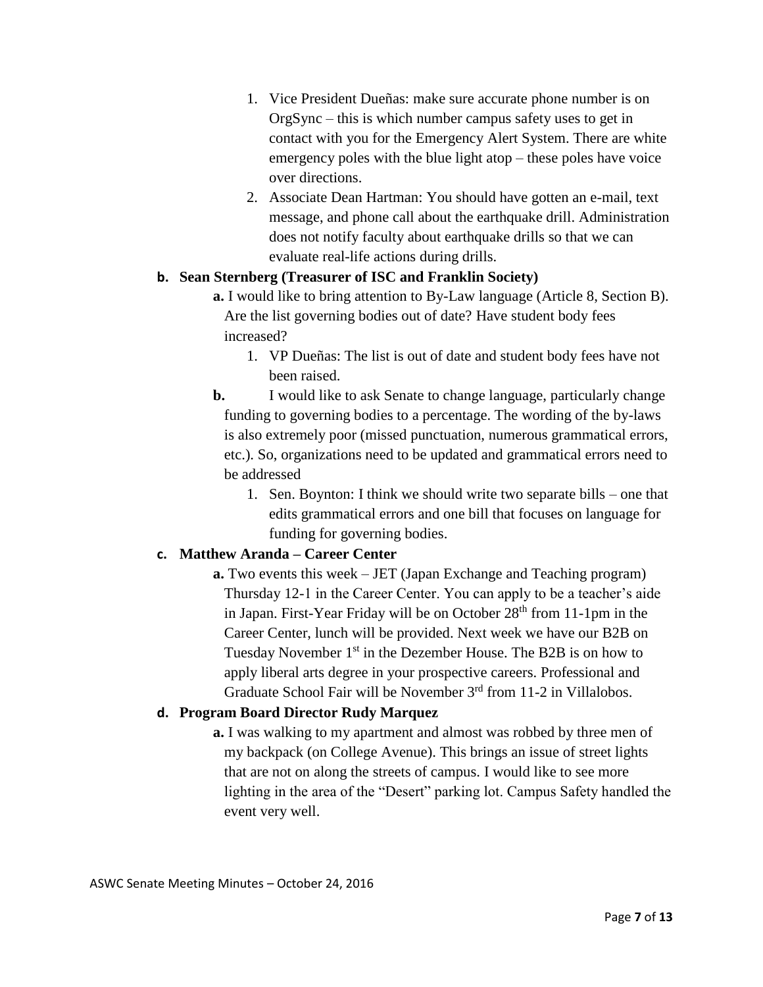- 1. Vice President Dueñas: make sure accurate phone number is on OrgSync – this is which number campus safety uses to get in contact with you for the Emergency Alert System. There are white emergency poles with the blue light atop – these poles have voice over directions.
- 2. Associate Dean Hartman: You should have gotten an e-mail, text message, and phone call about the earthquake drill. Administration does not notify faculty about earthquake drills so that we can evaluate real-life actions during drills.

#### **b. Sean Sternberg (Treasurer of ISC and Franklin Society)**

- **a.** I would like to bring attention to By-Law language (Article 8, Section B). Are the list governing bodies out of date? Have student body fees increased?
	- 1. VP Dueñas: The list is out of date and student body fees have not been raised.
- **b.** I would like to ask Senate to change language, particularly change funding to governing bodies to a percentage. The wording of the by-laws is also extremely poor (missed punctuation, numerous grammatical errors, etc.). So, organizations need to be updated and grammatical errors need to be addressed
	- 1. Sen. Boynton: I think we should write two separate bills one that edits grammatical errors and one bill that focuses on language for funding for governing bodies.

## **c. Matthew Aranda – Career Center**

**a.** Two events this week – JET (Japan Exchange and Teaching program) Thursday 12-1 in the Career Center. You can apply to be a teacher's aide in Japan. First-Year Friday will be on October 28<sup>th</sup> from 11-1pm in the Career Center, lunch will be provided. Next week we have our B2B on Tuesday November 1<sup>st</sup> in the Dezember House. The B2B is on how to apply liberal arts degree in your prospective careers. Professional and Graduate School Fair will be November 3rd from 11-2 in Villalobos.

## **d. Program Board Director Rudy Marquez**

**a.** I was walking to my apartment and almost was robbed by three men of my backpack (on College Avenue). This brings an issue of street lights that are not on along the streets of campus. I would like to see more lighting in the area of the "Desert" parking lot. Campus Safety handled the event very well.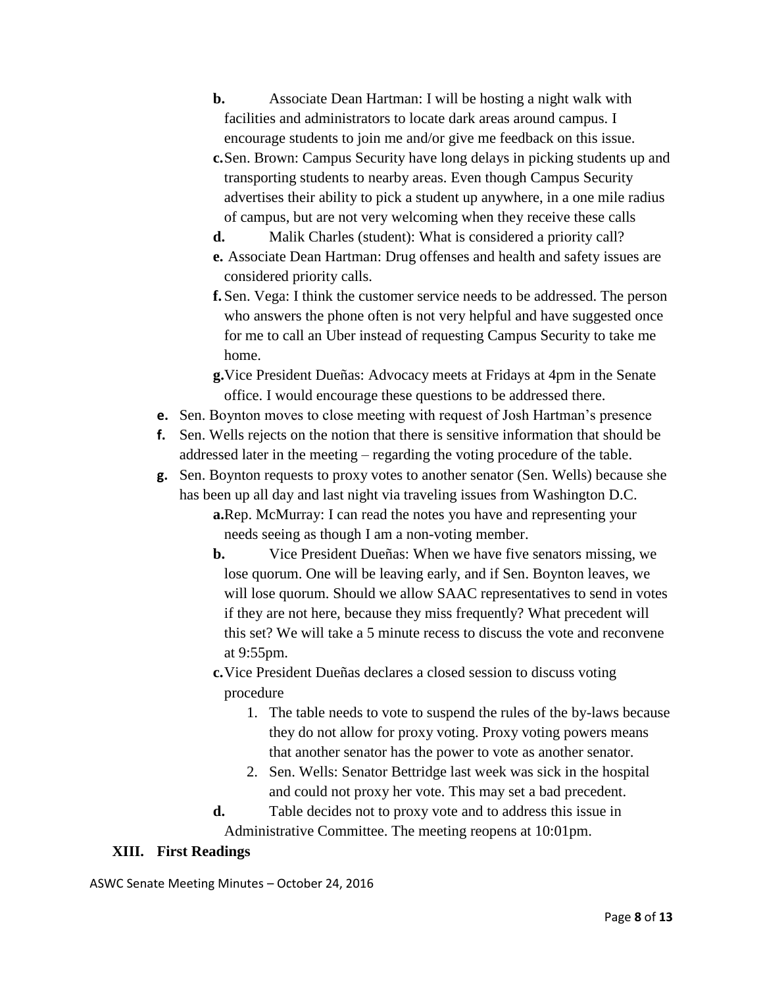- **b.** Associate Dean Hartman: I will be hosting a night walk with facilities and administrators to locate dark areas around campus. I encourage students to join me and/or give me feedback on this issue.
- **c.**Sen. Brown: Campus Security have long delays in picking students up and transporting students to nearby areas. Even though Campus Security advertises their ability to pick a student up anywhere, in a one mile radius of campus, but are not very welcoming when they receive these calls
- **d.** Malik Charles (student): What is considered a priority call? **e.** Associate Dean Hartman: Drug offenses and health and safety issues are considered priority calls.
- **f.** Sen. Vega: I think the customer service needs to be addressed. The person who answers the phone often is not very helpful and have suggested once for me to call an Uber instead of requesting Campus Security to take me home.
- **g.**Vice President Dueñas: Advocacy meets at Fridays at 4pm in the Senate office. I would encourage these questions to be addressed there.
- **e.** Sen. Boynton moves to close meeting with request of Josh Hartman's presence
- **f.** Sen. Wells rejects on the notion that there is sensitive information that should be addressed later in the meeting – regarding the voting procedure of the table.
- **g.** Sen. Boynton requests to proxy votes to another senator (Sen. Wells) because she has been up all day and last night via traveling issues from Washington D.C. **a.**Rep. McMurray: I can read the notes you have and representing your

needs seeing as though I am a non-voting member.

- **b.** Vice President Dueñas: When we have five senators missing, we lose quorum. One will be leaving early, and if Sen. Boynton leaves, we will lose quorum. Should we allow SAAC representatives to send in votes if they are not here, because they miss frequently? What precedent will this set? We will take a 5 minute recess to discuss the vote and reconvene at 9:55pm.
- **c.**Vice President Dueñas declares a closed session to discuss voting procedure
	- 1. The table needs to vote to suspend the rules of the by-laws because they do not allow for proxy voting. Proxy voting powers means that another senator has the power to vote as another senator.
	- 2. Sen. Wells: Senator Bettridge last week was sick in the hospital and could not proxy her vote. This may set a bad precedent.
- **d.** Table decides not to proxy vote and to address this issue in Administrative Committee. The meeting reopens at 10:01pm.

## **XIII. First Readings**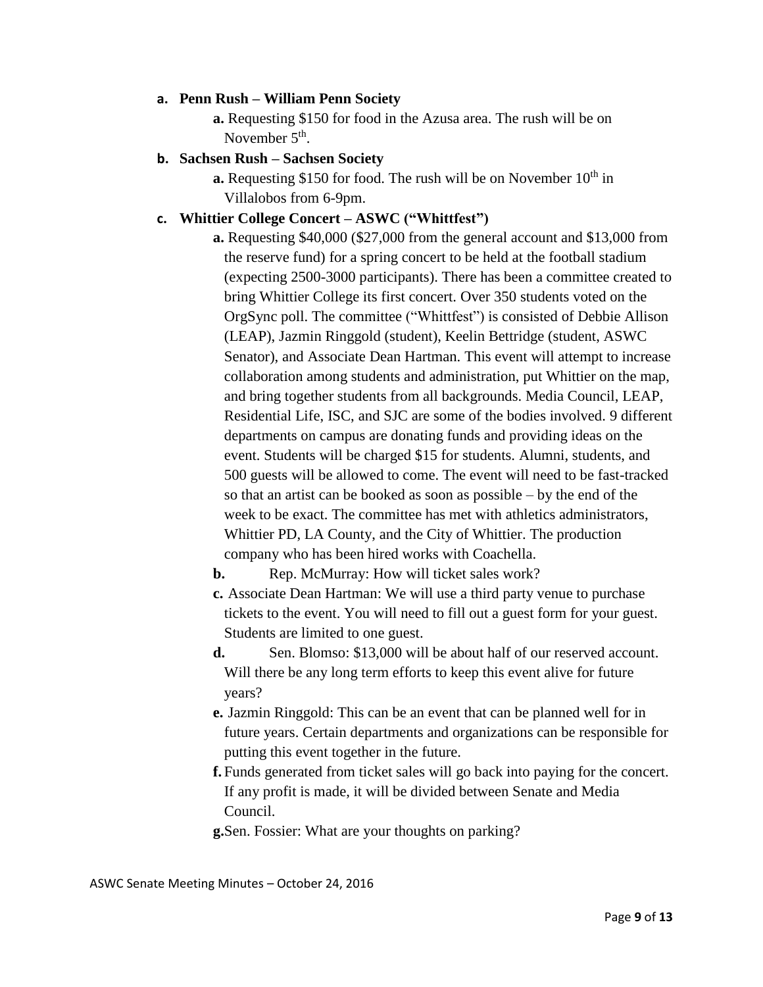#### **a. Penn Rush – William Penn Society**

**a.** Requesting \$150 for food in the Azusa area. The rush will be on November  $5<sup>th</sup>$ .

## **b. Sachsen Rush – Sachsen Society**

**a.** Requesting \$150 for food. The rush will be on November 10<sup>th</sup> in Villalobos from 6-9pm.

#### **c. Whittier College Concert – ASWC ("Whittfest")**

**a.** Requesting \$40,000 (\$27,000 from the general account and \$13,000 from the reserve fund) for a spring concert to be held at the football stadium (expecting 2500-3000 participants). There has been a committee created to bring Whittier College its first concert. Over 350 students voted on the OrgSync poll. The committee ("Whittfest") is consisted of Debbie Allison (LEAP), Jazmin Ringgold (student), Keelin Bettridge (student, ASWC Senator), and Associate Dean Hartman. This event will attempt to increase collaboration among students and administration, put Whittier on the map, and bring together students from all backgrounds. Media Council, LEAP, Residential Life, ISC, and SJC are some of the bodies involved. 9 different departments on campus are donating funds and providing ideas on the event. Students will be charged \$15 for students. Alumni, students, and 500 guests will be allowed to come. The event will need to be fast-tracked so that an artist can be booked as soon as possible – by the end of the week to be exact. The committee has met with athletics administrators, Whittier PD, LA County, and the City of Whittier. The production company who has been hired works with Coachella.

**b.** Rep. McMurray: How will ticket sales work?

**c.** Associate Dean Hartman: We will use a third party venue to purchase tickets to the event. You will need to fill out a guest form for your guest. Students are limited to one guest.

- **d.** Sen. Blomso: \$13,000 will be about half of our reserved account. Will there be any long term efforts to keep this event alive for future years?
- **e.** Jazmin Ringgold: This can be an event that can be planned well for in future years. Certain departments and organizations can be responsible for putting this event together in the future.
- **f.** Funds generated from ticket sales will go back into paying for the concert. If any profit is made, it will be divided between Senate and Media Council.

**g.**Sen. Fossier: What are your thoughts on parking?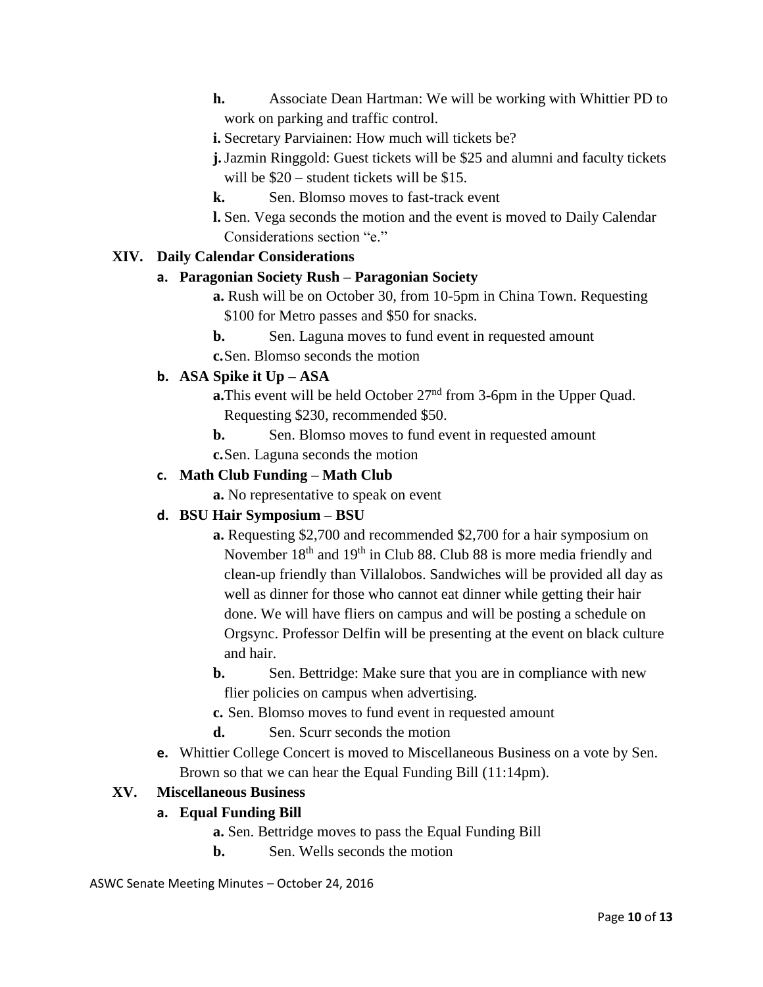- **h.** Associate Dean Hartman: We will be working with Whittier PD to work on parking and traffic control.
- **i.** Secretary Parviainen: How much will tickets be?
- **j.**Jazmin Ringgold: Guest tickets will be \$25 and alumni and faculty tickets will be  $\$20$  – student tickets will be \$15.
- **k.** Sen. Blomso moves to fast-track event
- **l.** Sen. Vega seconds the motion and the event is moved to Daily Calendar Considerations section "e."

## **XIV. Daily Calendar Considerations**

#### **a. Paragonian Society Rush – Paragonian Society**

- **a.** Rush will be on October 30, from 10-5pm in China Town. Requesting \$100 for Metro passes and \$50 for snacks.
- **b.** Sen. Laguna moves to fund event in requested amount

**c.**Sen. Blomso seconds the motion

## **b. ASA Spike it Up – ASA**

- **a.**This event will be held October 27<sup>nd</sup> from 3-6pm in the Upper Quad. Requesting \$230, recommended \$50.
- **b.** Sen. Blomso moves to fund event in requested amount **c.**Sen. Laguna seconds the motion

## **c. Math Club Funding – Math Club**

**a.** No representative to speak on event

# **d. BSU Hair Symposium – BSU**

- **a.** Requesting \$2,700 and recommended \$2,700 for a hair symposium on November 18<sup>th</sup> and 19<sup>th</sup> in Club 88. Club 88 is more media friendly and clean-up friendly than Villalobos. Sandwiches will be provided all day as well as dinner for those who cannot eat dinner while getting their hair done. We will have fliers on campus and will be posting a schedule on Orgsync. Professor Delfin will be presenting at the event on black culture and hair.
- **b.** Sen. Bettridge: Make sure that you are in compliance with new flier policies on campus when advertising.
- **c.** Sen. Blomso moves to fund event in requested amount
- **d.** Sen. Scurr seconds the motion
- **e.** Whittier College Concert is moved to Miscellaneous Business on a vote by Sen. Brown so that we can hear the Equal Funding Bill (11:14pm).

## **XV. Miscellaneous Business**

## **a. Equal Funding Bill**

- **a.** Sen. Bettridge moves to pass the Equal Funding Bill
- **b.** Sen. Wells seconds the motion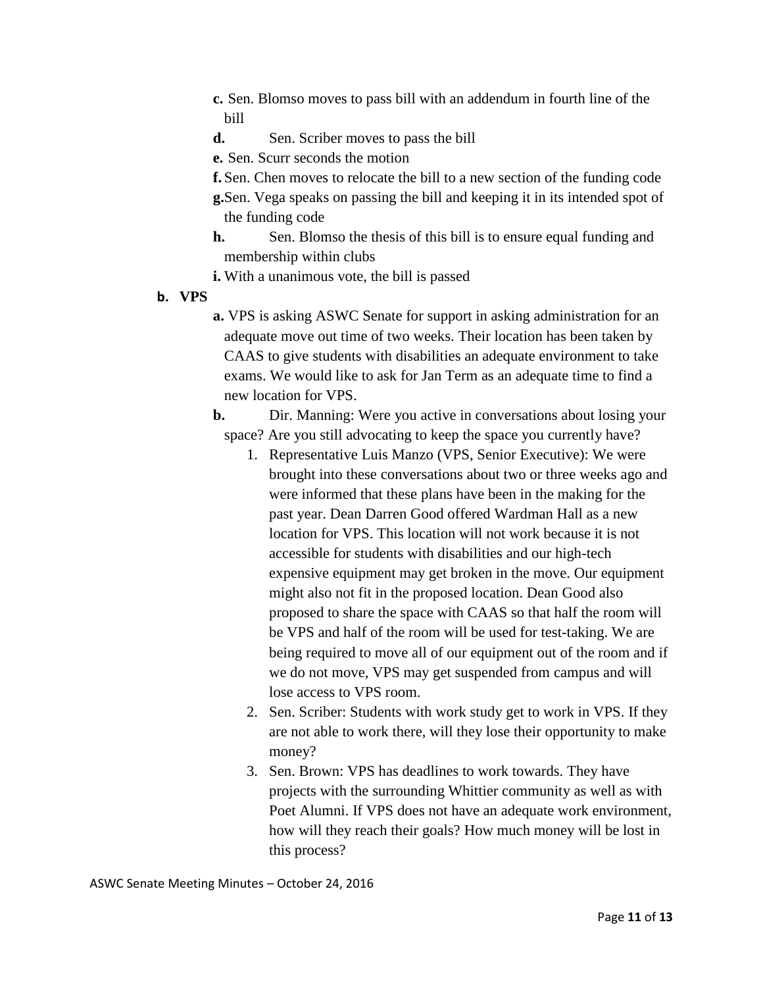- **c.** Sen. Blomso moves to pass bill with an addendum in fourth line of the bill
- **d.** Sen. Scriber moves to pass the bill

**e.** Sen. Scurr seconds the motion

**f.** Sen. Chen moves to relocate the bill to a new section of the funding code **g.**Sen. Vega speaks on passing the bill and keeping it in its intended spot of the funding code

- **h.** Sen. Blomso the thesis of this bill is to ensure equal funding and membership within clubs
- **i.** With a unanimous vote, the bill is passed
- **b. VPS**
- **a.** VPS is asking ASWC Senate for support in asking administration for an adequate move out time of two weeks. Their location has been taken by CAAS to give students with disabilities an adequate environment to take exams. We would like to ask for Jan Term as an adequate time to find a new location for VPS.
- **b.** Dir. Manning: Were you active in conversations about losing your space? Are you still advocating to keep the space you currently have?
	- 1. Representative Luis Manzo (VPS, Senior Executive): We were brought into these conversations about two or three weeks ago and were informed that these plans have been in the making for the past year. Dean Darren Good offered Wardman Hall as a new location for VPS. This location will not work because it is not accessible for students with disabilities and our high-tech expensive equipment may get broken in the move. Our equipment might also not fit in the proposed location. Dean Good also proposed to share the space with CAAS so that half the room will be VPS and half of the room will be used for test-taking. We are being required to move all of our equipment out of the room and if we do not move, VPS may get suspended from campus and will lose access to VPS room.
	- 2. Sen. Scriber: Students with work study get to work in VPS. If they are not able to work there, will they lose their opportunity to make money?
	- 3. Sen. Brown: VPS has deadlines to work towards. They have projects with the surrounding Whittier community as well as with Poet Alumni. If VPS does not have an adequate work environment, how will they reach their goals? How much money will be lost in this process?